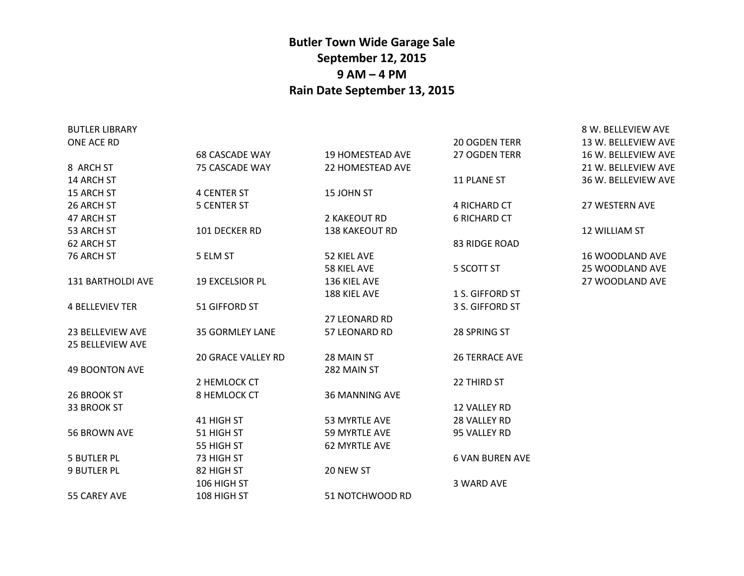## **Butler Town Wide Garage Sale September 12, 2015 9 AM – 4 PM Rain Date September 13, 2015**

| <b>BUTLER LIBRARY</b>   |                           |                         |                        | 8 W. BELLEVIEW AVE     |
|-------------------------|---------------------------|-------------------------|------------------------|------------------------|
| ONE ACE RD              |                           |                         | <b>20 OGDEN TERR</b>   | 13 W. BELLEVIEW AVE    |
|                         | <b>68 CASCADE WAY</b>     | <b>19 HOMESTEAD AVE</b> | 27 OGDEN TERR          | 16 W. BELLEVIEW AVE    |
| 8 ARCH ST               | 75 CASCADE WAY            | 22 HOMESTEAD AVE        |                        | 21 W. BELLEVIEW AVE    |
| 14 ARCH ST              |                           |                         | <b>11 PLANE ST</b>     | 36 W. BELLEVIEW AVE    |
| 15 ARCH ST              | <b>4 CENTER ST</b>        | 15 JOHN ST              |                        |                        |
| 26 ARCH ST              | <b>5 CENTER ST</b>        |                         | 4 RICHARD CT           | <b>27 WESTERN AVE</b>  |
| 47 ARCH ST              |                           | 2 KAKEOUT RD            | <b>6 RICHARD CT</b>    |                        |
| 53 ARCH ST              | 101 DECKER RD             | 138 KAKEOUT RD          |                        | 12 WILLIAM ST          |
| 62 ARCH ST              |                           |                         | 83 RIDGE ROAD          |                        |
| 76 ARCH ST              | 5 ELM ST                  | 52 KIEL AVE             |                        | <b>16 WOODLAND AVE</b> |
|                         |                           | 58 KIEL AVE             | 5 SCOTT ST             | 25 WOODLAND AVE        |
| 131 BARTHOLDI AVE       | <b>19 EXCELSIOR PL</b>    | 136 KIEL AVE            |                        | 27 WOODLAND AVE        |
|                         |                           | 188 KIEL AVE            | 1 S. GIFFORD ST        |                        |
| <b>4 BELLEVIEV TER</b>  | 51 GIFFORD ST             |                         | 3 S. GIFFORD ST        |                        |
|                         |                           | <b>27 LEONARD RD</b>    |                        |                        |
| 23 BELLEVIEW AVE        | <b>35 GORMLEY LANE</b>    | 57 LEONARD RD           | 28 SPRING ST           |                        |
| <b>25 BELLEVIEW AVE</b> |                           |                         |                        |                        |
|                         | <b>20 GRACE VALLEY RD</b> | 28 MAIN ST              | <b>26 TERRACE AVE</b>  |                        |
| <b>49 BOONTON AVE</b>   |                           | 282 MAIN ST             |                        |                        |
|                         | 2 HEMLOCK CT              |                         | 22 THIRD ST            |                        |
| 26 BROOK ST             | 8 HEMLOCK CT              | <b>36 MANNING AVE</b>   |                        |                        |
| 33 BROOK ST             |                           |                         | 12 VALLEY RD           |                        |
|                         | 41 HIGH ST                | 53 MYRTLE AVE           | 28 VALLEY RD           |                        |
| 56 BROWN AVE            | 51 HIGH ST                | 59 MYRTLE AVE           | 95 VALLEY RD           |                        |
|                         | 55 HIGH ST                | 62 MYRTLE AVE           |                        |                        |
| <b>5 BUTLER PL</b>      | 73 HIGH ST                |                         | <b>6 VAN BUREN AVE</b> |                        |
| <b>9 BUTLER PL</b>      | 82 HIGH ST                | 20 NEW ST               |                        |                        |
|                         | 106 HIGH ST               |                         | 3 WARD AVE             |                        |
| 55 CAREY AVE            | 108 HIGH ST               | 51 NOTCHWOOD RD         |                        |                        |